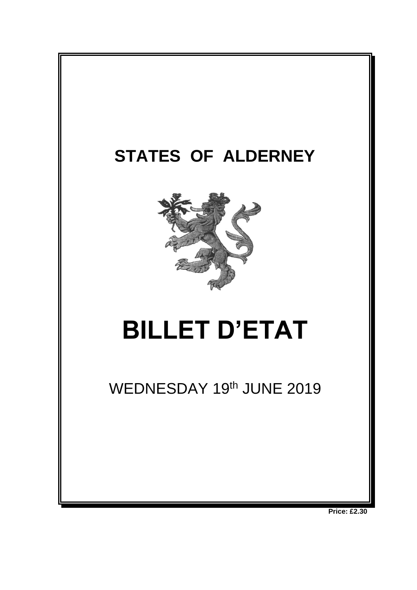

**Price: £2.30**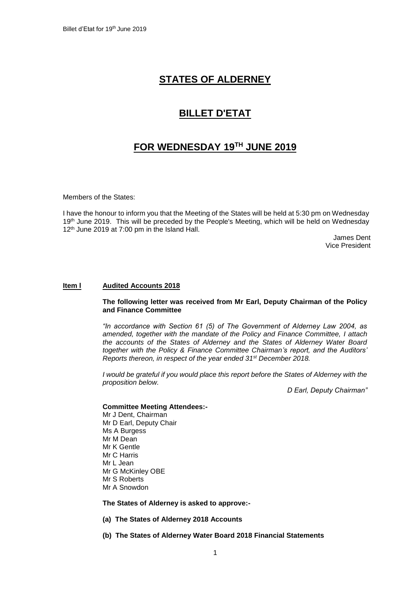# **STATES OF ALDERNEY**

## **BILLET D'ETAT**

## **FOR WEDNESDAY 19 TH JUNE 2019**

Members of the States:

I have the honour to inform you that the Meeting of the States will be held at 5:30 pm on Wednesday 19<sup>th</sup> June 2019. This will be preceded by the People's Meeting, which will be held on Wednesday 12<sup>th</sup> June 2019 at 7:00 pm in the Island Hall.

> James Dent Vice President

## **Item l Audited Accounts 2018**

## **The following letter was received from Mr Earl, Deputy Chairman of the Policy and Finance Committee**

*"In accordance with Section 61 (5) of The Government of Alderney Law 2004, as amended, together with the mandate of the Policy and Finance Committee, I attach the accounts of the States of Alderney and the States of Alderney Water Board together with the Policy & Finance Committee Chairman's report, and the Auditors' Reports thereon, in respect of the year ended 31st December 2018.*

*I* would be grateful if you would place this report before the States of Alderney with the *proposition below.* 

*D Earl, Deputy Chairman"*

## **Committee Meeting Attendees:-**

Mr J Dent, Chairman Mr D Earl, Deputy Chair Ms A Burgess Mr M Dean Mr K Gentle Mr C Harris Mr L Jean Mr G McKinley OBE Mr S Roberts Mr A Snowdon

**The States of Alderney is asked to approve:-**

- **(a) The States of Alderney 2018 Accounts**
- **(b) The States of Alderney Water Board 2018 Financial Statements**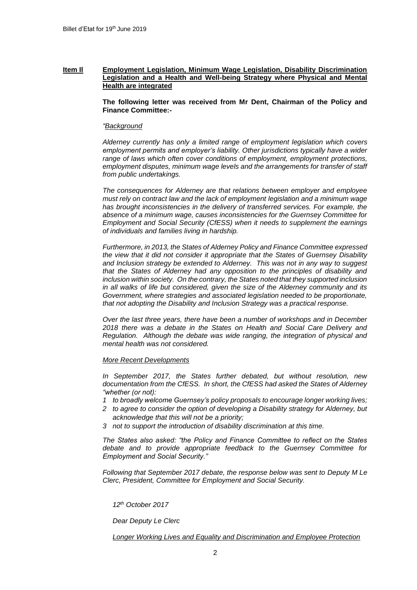## **Item Il Employment Legislation, Minimum Wage Legislation, Disability Discrimination Legislation and a Health and Well-being Strategy where Physical and Mental Health are integrated**

**The following letter was received from Mr Dent, Chairman of the Policy and Finance Committee:-**

#### *"Background*

*Alderney currently has only a limited range of employment legislation which covers employment permits and employer's liability. Other jurisdictions typically have a wider range of laws which often cover conditions of employment, employment protections, employment disputes, minimum wage levels and the arrangements for transfer of staff from public undertakings.* 

*The consequences for Alderney are that relations between employer and employee must rely on contract law and the lack of employment legislation and a minimum wage has brought inconsistencies in the delivery of transferred services. For example, the absence of a minimum wage, causes inconsistencies for the Guernsey Committee for Employment and Social Security (CfESS) when it needs to supplement the earnings of individuals and families living in hardship.*

*Furthermore, in 2013, the States of Alderney Policy and Finance Committee expressed the view that it did not consider it appropriate that the States of Guernsey Disability and Inclusion strategy be extended to Alderney. This was not in any way to suggest that the States of Alderney had any opposition to the principles of disability and inclusion within society. On the contrary, the States noted that they supported inclusion in all walks of life but considered, given the size of the Alderney community and its Government, where strategies and associated legislation needed to be proportionate, that not adopting the Disability and Inclusion Strategy was a practical response.*

*Over the last three years, there have been a number of workshops and in December 2018 there was a debate in the States on Health and Social Care Delivery and Regulation. Although the debate was wide ranging, the integration of physical and mental health was not considered.*

#### *More Recent Developments*

*In September 2017, the States further debated, but without resolution, new documentation from the CfESS. In short, the CfESS had asked the States of Alderney "whether (or not):*

- *1 to broadly welcome Guernsey's policy proposals to encourage longer working lives;*
- *2 to agree to consider the option of developing a Disability strategy for Alderney, but acknowledge that this will not be a priority;*
- *3 not to support the introduction of disability discrimination at this time.*

*The States also asked: "the Policy and Finance Committee to reflect on the States debate and to provide appropriate feedback to the Guernsey Committee for Employment and Social Security."*

*Following that September 2017 debate, the response below was sent to Deputy M Le Clerc, President, Committee for Employment and Social Security.*

*12th October 2017*

*Dear Deputy Le Clerc*

*Longer Working Lives and Equality and Discrimination and Employee Protection*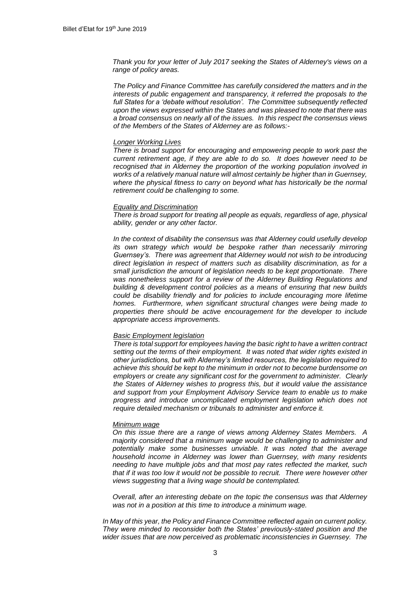*Thank you for your letter of July 2017 seeking the States of Alderney's views on a range of policy areas.*

*The Policy and Finance Committee has carefully considered the matters and in the interests of public engagement and transparency, it referred the proposals to the full States for a 'debate without resolution'. The Committee subsequently reflected upon the views expressed within the States and was pleased to note that there was a broad consensus on nearly all of the issues. In this respect the consensus views of the Members of the States of Alderney are as follows:-*

#### *Longer Working Lives*

*There is broad support for encouraging and empowering people to work past the current retirement age, if they are able to do so. It does however need to be recognised that in Alderney the proportion of the working population involved in works of a relatively manual nature will almost certainly be higher than in Guernsey, where the physical fitness to carry on beyond what has historically be the normal retirement could be challenging to some.*

### *Equality and Discrimination*

*There is broad support for treating all people as equals, regardless of age, physical ability, gender or any other factor.*

*In the context of disability the consensus was that Alderney could usefully develop its own strategy which would be bespoke rather than necessarily mirroring Guernsey's. There was agreement that Alderney would not wish to be introducing direct legislation in respect of matters such as disability discrimination, as for a small jurisdiction the amount of legislation needs to be kept proportionate. There was nonetheless support for a review of the Alderney Building Regulations and building & development control policies as a means of ensuring that new builds could be disability friendly and for policies to include encouraging more lifetime homes. Furthermore, when significant structural changes were being made to properties there should be active encouragement for the developer to include appropriate access improvements.*

#### *Basic Employment legislation*

*There is total support for employees having the basic right to have a written contract setting out the terms of their employment. It was noted that wider rights existed in other jurisdictions, but with Alderney's limited resources, the legislation required to achieve this should be kept to the minimum in order not to become burdensome on employers or create any significant cost for the government to administer. Clearly the States of Alderney wishes to progress this, but it would value the assistance and support from your Employment Advisory Service team to enable us to make progress and introduce uncomplicated employment legislation which does not require detailed mechanism or tribunals to administer and enforce it.*

#### *Minimum wage*

*On this issue there are a range of views among Alderney States Members. A majority considered that a minimum wage would be challenging to administer and potentially make some businesses unviable. It was noted that the average household income in Alderney was lower than Guernsey, with many residents needing to have multiple jobs and that most pay rates reflected the market, such that if it was too low it would not be possible to recruit. There were however other views suggesting that a living wage should be contemplated.*

*Overall, after an interesting debate on the topic the consensus was that Alderney was not in a position at this time to introduce a minimum wage.*

*In May of this year, the Policy and Finance Committee reflected again on current policy. They were minded to reconsider both the States' previously-stated position and the wider issues that are now perceived as problematic inconsistencies in Guernsey. The*